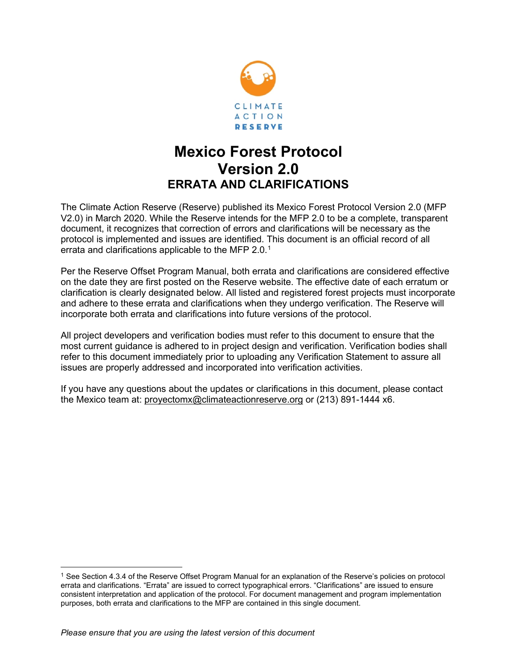

# **Mexico Forest Protocol Version 2.0 ERRATA AND CLARIFICATIONS**

The Climate Action Reserve (Reserve) published its Mexico Forest Protocol Version 2.0 (MFP V2.0) in March 2020. While the Reserve intends for the MFP 2.0 to be a complete, transparent document, it recognizes that correction of errors and clarifications will be necessary as the protocol is implemented and issues are identified. This document is an official record of all errata and clarifications applicable to the MFP 2.0. $^{\rm 1}$  $^{\rm 1}$  $^{\rm 1}$ 

Per the Reserve Offset Program Manual, both errata and clarifications are considered effective on the date they are first posted on the Reserve website. The effective date of each erratum or clarification is clearly designated below. All listed and registered forest projects must incorporate and adhere to these errata and clarifications when they undergo verification. The Reserve will incorporate both errata and clarifications into future versions of the protocol.

All project developers and verification bodies must refer to this document to ensure that the most current guidance is adhered to in project design and verification. Verification bodies shall refer to this document immediately prior to uploading any Verification Statement to assure all issues are properly addressed and incorporated into verification activities.

If you have any questions about the updates or clarifications in this document, please contact the Mexico team at: [proyectomx@climateactionreserve.org](mailto:proyectomx@climateactionreserve.org) or (213) 891-1444 x6.

<span id="page-0-0"></span><sup>1</sup> See Section 4.3.4 of the Reserve Offset Program Manual for an explanation of the Reserve's policies on protocol errata and clarifications. "Errata" are issued to correct typographical errors. "Clarifications" are issued to ensure consistent interpretation and application of the protocol. For document management and program implementation purposes, both errata and clarifications to the MFP are contained in this single document.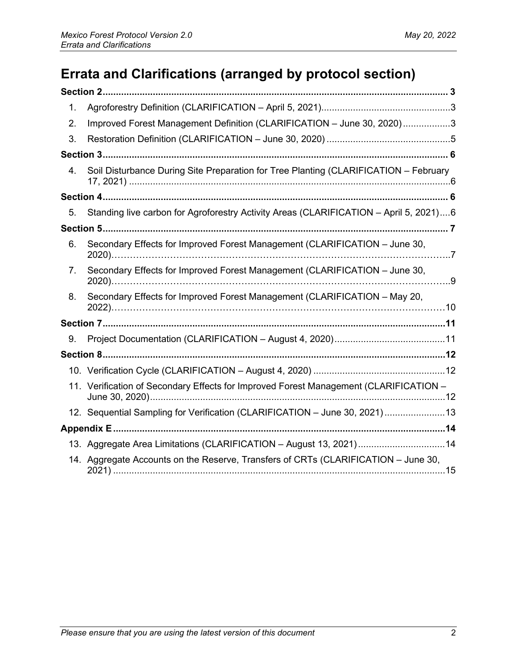# **Errata and Clarifications (arranged by protocol section)**

| 1. |                                                                                       |
|----|---------------------------------------------------------------------------------------|
| 2. | Improved Forest Management Definition (CLARIFICATION - June 30, 2020)3                |
| 3. |                                                                                       |
|    |                                                                                       |
| 4. | Soil Disturbance During Site Preparation for Tree Planting (CLARIFICATION - February  |
|    |                                                                                       |
| 5. | Standing live carbon for Agroforestry Activity Areas (CLARIFICATION - April 5, 2021)6 |
|    |                                                                                       |
| 6. | Secondary Effects for Improved Forest Management (CLARIFICATION - June 30,            |
| 7. | Secondary Effects for Improved Forest Management (CLARIFICATION - June 30,            |
| 8. | Secondary Effects for Improved Forest Management (CLARIFICATION - May 20,             |
|    |                                                                                       |
| 9. |                                                                                       |
|    |                                                                                       |
|    |                                                                                       |
|    | 11. Verification of Secondary Effects for Improved Forest Management (CLARIFICATION - |
|    | 12. Sequential Sampling for Verification (CLARIFICATION - June 30, 2021)13            |
|    |                                                                                       |
|    | 13. Aggregate Area Limitations (CLARIFICATION - August 13, 2021)14                    |
|    | 14. Aggregate Accounts on the Reserve, Transfers of CRTs (CLARIFICATION – June 30,    |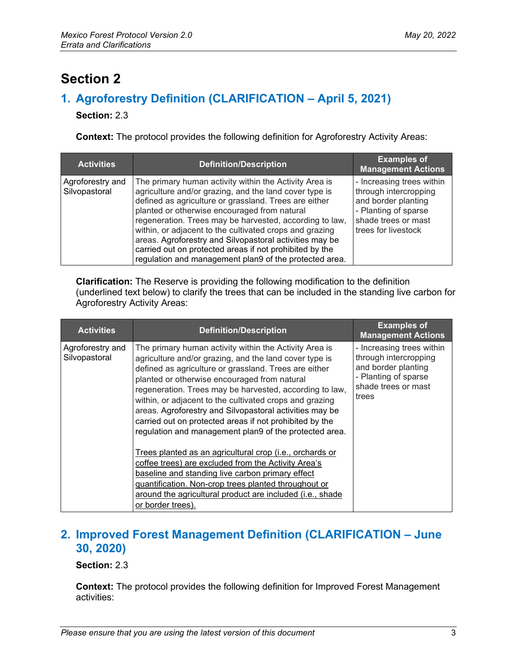# <span id="page-2-0"></span>**Section 2**

## <span id="page-2-1"></span>**1. Agroforestry Definition (CLARIFICATION – April 5, 2021)**

**Section:** 2.3

**Context:** The protocol provides the following definition for Agroforestry Activity Areas:

| <b>Activities</b>                 | <b>Definition/Description</b>                                                                                                                                                                                                                                                                                                                                                                                                                                                                                                   | <b>Examples of</b><br><b>Management Actions</b>                                                                                                 |
|-----------------------------------|---------------------------------------------------------------------------------------------------------------------------------------------------------------------------------------------------------------------------------------------------------------------------------------------------------------------------------------------------------------------------------------------------------------------------------------------------------------------------------------------------------------------------------|-------------------------------------------------------------------------------------------------------------------------------------------------|
| Agroforestry and<br>Silvopastoral | The primary human activity within the Activity Area is<br>agriculture and/or grazing, and the land cover type is<br>defined as agriculture or grassland. Trees are either<br>planted or otherwise encouraged from natural<br>regeneration. Trees may be harvested, according to law,<br>within, or adjacent to the cultivated crops and grazing<br>areas. Agroforestry and Silvopastoral activities may be<br>carried out on protected areas if not prohibited by the<br>regulation and management plan9 of the protected area. | - Increasing trees within<br>through intercropping<br>and border planting<br>- Planting of sparse<br>shade trees or mast<br>trees for livestock |

**Clarification:** The Reserve is providing the following modification to the definition (underlined text below) to clarify the trees that can be included in the standing live carbon for Agroforestry Activity Areas:

| <b>Activities</b>                 | <b>Definition/Description</b>                                                                                                                                                                                                                                                                                                                                                                                                                                                                                                   | <b>Examples of</b><br><b>Management Actions</b>                                                                                   |
|-----------------------------------|---------------------------------------------------------------------------------------------------------------------------------------------------------------------------------------------------------------------------------------------------------------------------------------------------------------------------------------------------------------------------------------------------------------------------------------------------------------------------------------------------------------------------------|-----------------------------------------------------------------------------------------------------------------------------------|
| Agroforestry and<br>Silvopastoral | The primary human activity within the Activity Area is<br>agriculture and/or grazing, and the land cover type is<br>defined as agriculture or grassland. Trees are either<br>planted or otherwise encouraged from natural<br>regeneration. Trees may be harvested, according to law,<br>within, or adjacent to the cultivated crops and grazing<br>areas. Agroforestry and Silvopastoral activities may be<br>carried out on protected areas if not prohibited by the<br>regulation and management plan9 of the protected area. | - Increasing trees within<br>through intercropping<br>and border planting<br>- Planting of sparse<br>shade trees or mast<br>trees |
|                                   | Trees planted as an agricultural crop (i.e., orchards or<br>coffee trees) are excluded from the Activity Area's<br>baseline and standing live carbon primary effect<br>quantification. Non-crop trees planted throughout or<br>around the agricultural product are included (i.e., shade<br>or border trees).                                                                                                                                                                                                                   |                                                                                                                                   |

### <span id="page-2-2"></span>**2. Improved Forest Management Definition (CLARIFICATION – June 30, 2020)**

#### **Section:** 2.3

**Context:** The protocol provides the following definition for Improved Forest Management activities: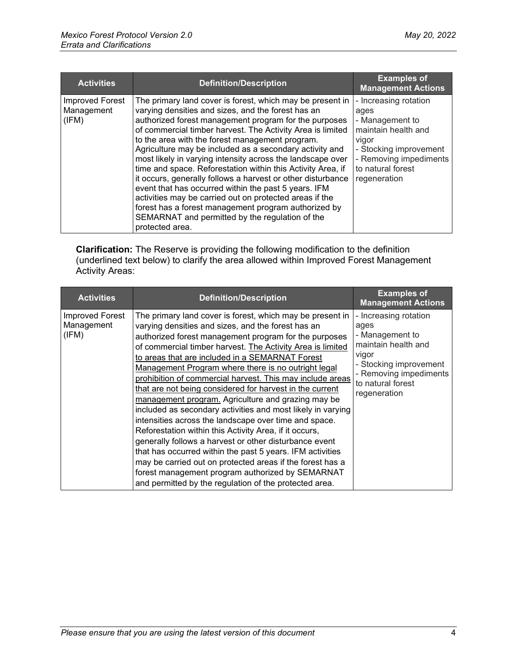| <b>Activities</b>                             | <b>Definition/Description</b>                                                                                                                                                                                                                                                                                                                                                                                                                                                                                                                                                                                                                                                                                                                                                                     | <b>Examples of</b><br><b>Management Actions</b>                                                                                                                           |
|-----------------------------------------------|---------------------------------------------------------------------------------------------------------------------------------------------------------------------------------------------------------------------------------------------------------------------------------------------------------------------------------------------------------------------------------------------------------------------------------------------------------------------------------------------------------------------------------------------------------------------------------------------------------------------------------------------------------------------------------------------------------------------------------------------------------------------------------------------------|---------------------------------------------------------------------------------------------------------------------------------------------------------------------------|
| <b>Improved Forest</b><br>Management<br>(IFM) | The primary land cover is forest, which may be present in<br>varying densities and sizes, and the forest has an<br>authorized forest management program for the purposes<br>of commercial timber harvest. The Activity Area is limited<br>to the area with the forest management program.<br>Agriculture may be included as a secondary activity and<br>most likely in varying intensity across the landscape over<br>time and space. Reforestation within this Activity Area, if<br>it occurs, generally follows a harvest or other disturbance<br>event that has occurred within the past 5 years. IFM<br>activities may be carried out on protected areas if the<br>forest has a forest management program authorized by<br>SEMARNAT and permitted by the regulation of the<br>protected area. | - Increasing rotation<br>ages<br>- Management to<br>maintain health and<br>vigor<br>- Stocking improvement<br>- Removing impediments<br>to natural forest<br>regeneration |

**Clarification:** The Reserve is providing the following modification to the definition (underlined text below) to clarify the area allowed within Improved Forest Management Activity Areas:

| <b>Activities</b>                             | <b>Definition/Description</b>                                                                                                                                                                                                                                                                                                                                                                                                                                                                                                                                                                                                                                                                                                                                                                                                                                                                                                                                                                                       | <b>Examples of</b><br><b>Management Actions</b>                                                                                                                           |
|-----------------------------------------------|---------------------------------------------------------------------------------------------------------------------------------------------------------------------------------------------------------------------------------------------------------------------------------------------------------------------------------------------------------------------------------------------------------------------------------------------------------------------------------------------------------------------------------------------------------------------------------------------------------------------------------------------------------------------------------------------------------------------------------------------------------------------------------------------------------------------------------------------------------------------------------------------------------------------------------------------------------------------------------------------------------------------|---------------------------------------------------------------------------------------------------------------------------------------------------------------------------|
| <b>Improved Forest</b><br>Management<br>(IFM) | The primary land cover is forest, which may be present in<br>varying densities and sizes, and the forest has an<br>authorized forest management program for the purposes<br>of commercial timber harvest. The Activity Area is limited<br>to areas that are included in a SEMARNAT Forest<br>Management Program where there is no outright legal<br>prohibition of commercial harvest. This may include areas<br>that are not being considered for harvest in the current<br>management program. Agriculture and grazing may be<br>included as secondary activities and most likely in varying<br>intensities across the landscape over time and space.<br>Reforestation within this Activity Area, if it occurs,<br>generally follows a harvest or other disturbance event<br>that has occurred within the past 5 years. IFM activities<br>may be carried out on protected areas if the forest has a<br>forest management program authorized by SEMARNAT<br>and permitted by the regulation of the protected area. | - Increasing rotation<br>ages<br>- Management to<br>maintain health and<br>vigor<br>- Stocking improvement<br>- Removing impediments<br>to natural forest<br>regeneration |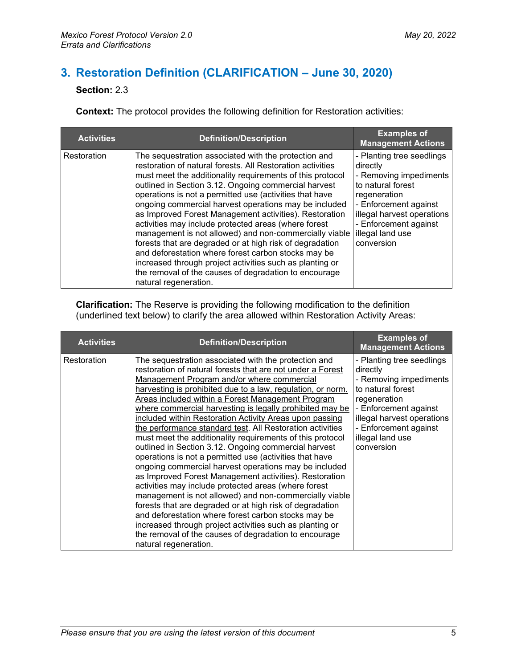# <span id="page-4-0"></span>**3. Restoration Definition (CLARIFICATION – June 30, 2020)**

#### **Section:** 2.3

**Context:** The protocol provides the following definition for Restoration activities:

| <b>Activities</b> | <b>Definition/Description</b>                                                                                                                                                                                                                                                                                                                                                                                                                                                                                                                                                                                                                                                                                                                                                                            | <b>Examples of</b><br><b>Management Actions</b>                                                                                                                                                                        |
|-------------------|----------------------------------------------------------------------------------------------------------------------------------------------------------------------------------------------------------------------------------------------------------------------------------------------------------------------------------------------------------------------------------------------------------------------------------------------------------------------------------------------------------------------------------------------------------------------------------------------------------------------------------------------------------------------------------------------------------------------------------------------------------------------------------------------------------|------------------------------------------------------------------------------------------------------------------------------------------------------------------------------------------------------------------------|
| Restoration       | The sequestration associated with the protection and<br>restoration of natural forests. All Restoration activities<br>must meet the additionality requirements of this protocol<br>outlined in Section 3.12. Ongoing commercial harvest<br>operations is not a permitted use (activities that have<br>ongoing commercial harvest operations may be included<br>as Improved Forest Management activities). Restoration<br>activities may include protected areas (where forest<br>management is not allowed) and non-commercially viable<br>forests that are degraded or at high risk of degradation<br>and deforestation where forest carbon stocks may be<br>increased through project activities such as planting or<br>the removal of the causes of degradation to encourage<br>natural regeneration. | - Planting tree seedlings<br>directly<br>- Removing impediments<br>to natural forest<br>regeneration<br>- Enforcement against<br>illegal harvest operations<br>- Enforcement against<br>illegal land use<br>conversion |

**Clarification:** The Reserve is providing the following modification to the definition (underlined text below) to clarify the area allowed within Restoration Activity Areas:

| <b>Activities</b> | <b>Definition/Description</b>                                                                                                                                                                                                                                                                                                                                                                                                                                                                                                                                                                                                                                                                                                                                                                                                                                                                                                                                                                                                                                                                                                                                  | <b>Examples of</b><br><b>Management Actions</b>                                                                                                                                                                        |
|-------------------|----------------------------------------------------------------------------------------------------------------------------------------------------------------------------------------------------------------------------------------------------------------------------------------------------------------------------------------------------------------------------------------------------------------------------------------------------------------------------------------------------------------------------------------------------------------------------------------------------------------------------------------------------------------------------------------------------------------------------------------------------------------------------------------------------------------------------------------------------------------------------------------------------------------------------------------------------------------------------------------------------------------------------------------------------------------------------------------------------------------------------------------------------------------|------------------------------------------------------------------------------------------------------------------------------------------------------------------------------------------------------------------------|
| Restoration       | The sequestration associated with the protection and<br>restoration of natural forests that are not under a Forest<br>Management Program and/or where commercial<br>harvesting is prohibited due to a law, regulation, or norm.<br>Areas included within a Forest Management Program<br>where commercial harvesting is legally prohibited may be<br>included within Restoration Activity Areas upon passing<br>the performance standard test. All Restoration activities<br>must meet the additionality requirements of this protocol<br>outlined in Section 3.12. Ongoing commercial harvest<br>operations is not a permitted use (activities that have<br>ongoing commercial harvest operations may be included<br>as Improved Forest Management activities). Restoration<br>activities may include protected areas (where forest<br>management is not allowed) and non-commercially viable<br>forests that are degraded or at high risk of degradation<br>and deforestation where forest carbon stocks may be<br>increased through project activities such as planting or<br>the removal of the causes of degradation to encourage<br>natural regeneration. | - Planting tree seedlings<br>directly<br>- Removing impediments<br>to natural forest<br>regeneration<br>- Enforcement against<br>illegal harvest operations<br>- Enforcement against<br>illegal land use<br>conversion |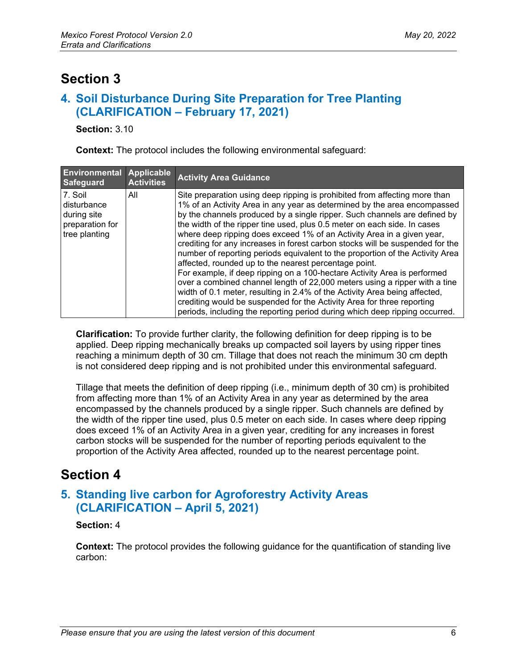## <span id="page-5-0"></span>**Section 3**

### <span id="page-5-1"></span>**4. Soil Disturbance During Site Preparation for Tree Planting (CLARIFICATION – February 17, 2021)**

**Section:** 3.10

**Context:** The protocol includes the following environmental safeguard:

| <b>Environmental</b><br>Safeguard                                         | Applicable<br><b>Activities</b> | <b>Activity Area Guidance</b>                                                                                                                                                                                                                                                                                                                                                                                                                                                                                                                                                                                                                                                                                                                                                                                                                                                                                                                                                                                         |
|---------------------------------------------------------------------------|---------------------------------|-----------------------------------------------------------------------------------------------------------------------------------------------------------------------------------------------------------------------------------------------------------------------------------------------------------------------------------------------------------------------------------------------------------------------------------------------------------------------------------------------------------------------------------------------------------------------------------------------------------------------------------------------------------------------------------------------------------------------------------------------------------------------------------------------------------------------------------------------------------------------------------------------------------------------------------------------------------------------------------------------------------------------|
| 7. Soil<br>disturbance<br>during site<br>preparation for<br>tree planting | All                             | Site preparation using deep ripping is prohibited from affecting more than<br>1% of an Activity Area in any year as determined by the area encompassed<br>by the channels produced by a single ripper. Such channels are defined by<br>the width of the ripper tine used, plus 0.5 meter on each side. In cases<br>where deep ripping does exceed 1% of an Activity Area in a given year,<br>crediting for any increases in forest carbon stocks will be suspended for the<br>number of reporting periods equivalent to the proportion of the Activity Area<br>affected, rounded up to the nearest percentage point.<br>For example, if deep ripping on a 100-hectare Activity Area is performed<br>over a combined channel length of 22,000 meters using a ripper with a tine<br>width of 0.1 meter, resulting in 2.4% of the Activity Area being affected,<br>crediting would be suspended for the Activity Area for three reporting<br>periods, including the reporting period during which deep ripping occurred. |

**Clarification:** To provide further clarity, the following definition for deep ripping is to be applied. Deep ripping mechanically breaks up compacted soil layers by using ripper tines reaching a minimum depth of 30 cm. Tillage that does not reach the minimum 30 cm depth is not considered deep ripping and is not prohibited under this environmental safeguard.

Tillage that meets the definition of deep ripping (i.e., minimum depth of 30 cm) is prohibited from affecting more than 1% of an Activity Area in any year as determined by the area encompassed by the channels produced by a single ripper. Such channels are defined by the width of the ripper tine used, plus 0.5 meter on each side. In cases where deep ripping does exceed 1% of an Activity Area in a given year, crediting for any increases in forest carbon stocks will be suspended for the number of reporting periods equivalent to the proportion of the Activity Area affected, rounded up to the nearest percentage point.

## <span id="page-5-2"></span>**Section 4**

### <span id="page-5-3"></span>**5. Standing live carbon for Agroforestry Activity Areas (CLARIFICATION – April 5, 2021)**

#### **Section:** 4

**Context:** The protocol provides the following guidance for the quantification of standing live carbon: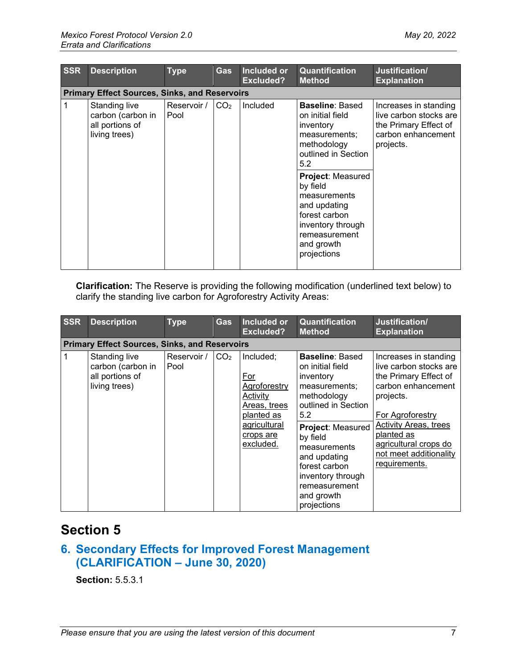| <b>SSR</b> | <b>Description</b>                                                     | <b>Type</b>         | <b>Gas</b>      | <b>Included or</b><br><b>Excluded?</b> | Quantification<br><b>Method</b>                                                                                                                                                                                                                                            | Justification/<br><b>Explanation</b>                                                                        |
|------------|------------------------------------------------------------------------|---------------------|-----------------|----------------------------------------|----------------------------------------------------------------------------------------------------------------------------------------------------------------------------------------------------------------------------------------------------------------------------|-------------------------------------------------------------------------------------------------------------|
|            | <b>Primary Effect Sources, Sinks, and Reservoirs</b>                   |                     |                 |                                        |                                                                                                                                                                                                                                                                            |                                                                                                             |
| 1          | Standing live<br>carbon (carbon in<br>all portions of<br>living trees) | Reservoir /<br>Pool | CO <sub>2</sub> | Included                               | <b>Baseline: Based</b><br>on initial field<br>inventory<br>measurements;<br>methodology<br>outlined in Section<br>5.2<br>Project: Measured<br>by field<br>measurements<br>and updating<br>forest carbon<br>inventory through<br>remeasurement<br>and growth<br>projections | Increases in standing<br>live carbon stocks are<br>the Primary Effect of<br>carbon enhancement<br>projects. |
|            |                                                                        |                     |                 |                                        |                                                                                                                                                                                                                                                                            |                                                                                                             |

**Clarification:** The Reserve is providing the following modification (underlined text below) to clarify the standing live carbon for Agroforestry Activity Areas:

| <b>SSR</b> | <b>Description</b>                                                     | <b>Type</b>         | <b>Gas</b>      | Included or<br><b>Excluded?</b>                                                                                      | Quantification<br><b>Method</b>                                                                                                                                                                                                                                            | Justification/<br><b>Explanation</b>                                                                                                                                                                                                              |
|------------|------------------------------------------------------------------------|---------------------|-----------------|----------------------------------------------------------------------------------------------------------------------|----------------------------------------------------------------------------------------------------------------------------------------------------------------------------------------------------------------------------------------------------------------------------|---------------------------------------------------------------------------------------------------------------------------------------------------------------------------------------------------------------------------------------------------|
|            | <b>Primary Effect Sources, Sinks, and Reservoirs</b>                   |                     |                 |                                                                                                                      |                                                                                                                                                                                                                                                                            |                                                                                                                                                                                                                                                   |
|            | Standing live<br>carbon (carbon in<br>all portions of<br>living trees) | Reservoir /<br>Pool | CO <sub>2</sub> | Included:<br>For<br>Agroforestry<br>Activity<br>Areas, trees<br>planted as<br>agricultural<br>crops are<br>excluded. | <b>Baseline: Based</b><br>on initial field<br>inventory<br>measurements;<br>methodology<br>outlined in Section<br>5.2<br>Project: Measured<br>by field<br>measurements<br>and updating<br>forest carbon<br>inventory through<br>remeasurement<br>and growth<br>projections | Increases in standing<br>live carbon stocks are<br>the Primary Effect of<br>carbon enhancement<br>projects.<br>For Agroforestry<br><b>Activity Areas, trees</b><br>planted as<br>agricultural crops do<br>not meet additionality<br>requirements. |

## <span id="page-6-0"></span>**Section 5**

### <span id="page-6-1"></span>**6. Secondary Effects for Improved Forest Management (CLARIFICATION – June 30, 2020)**

**Section:** 5.5.3.1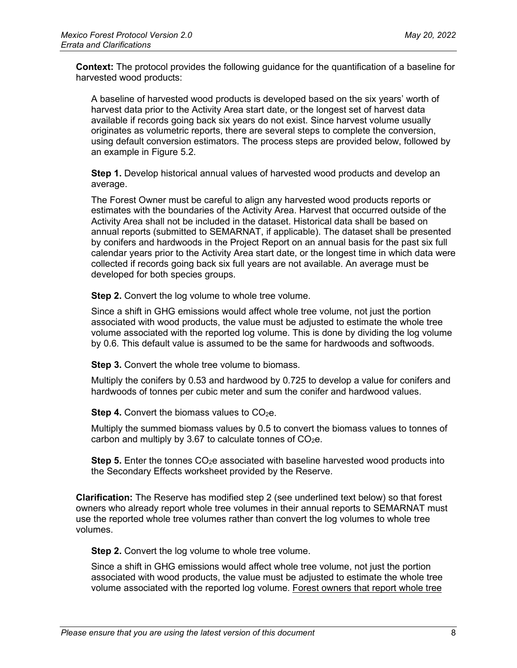**Context:** The protocol provides the following guidance for the quantification of a baseline for harvested wood products:

A baseline of harvested wood products is developed based on the six years' worth of harvest data prior to the Activity Area start date, or the longest set of harvest data available if records going back six years do not exist. Since harvest volume usually originates as volumetric reports, there are several steps to complete the conversion, using default conversion estimators. The process steps are provided below, followed by an example in Figure 5.2.

**Step 1.** Develop historical annual values of harvested wood products and develop an average.

The Forest Owner must be careful to align any harvested wood products reports or estimates with the boundaries of the Activity Area. Harvest that occurred outside of the Activity Area shall not be included in the dataset. Historical data shall be based on annual reports (submitted to SEMARNAT, if applicable). The dataset shall be presented by conifers and hardwoods in the Project Report on an annual basis for the past six full calendar years prior to the Activity Area start date, or the longest time in which data were collected if records going back six full years are not available. An average must be developed for both species groups.

**Step 2.** Convert the log volume to whole tree volume.

Since a shift in GHG emissions would affect whole tree volume, not just the portion associated with wood products, the value must be adjusted to estimate the whole tree volume associated with the reported log volume. This is done by dividing the log volume by 0.6. This default value is assumed to be the same for hardwoods and softwoods.

**Step 3.** Convert the whole tree volume to biomass.

Multiply the conifers by 0.53 and hardwood by 0.725 to develop a value for conifers and hardwoods of tonnes per cubic meter and sum the conifer and hardwood values.

**Step 4.** Convert the biomass values to  $CO<sub>2</sub>e$ .

Multiply the summed biomass values by 0.5 to convert the biomass values to tonnes of carbon and multiply by 3.67 to calculate tonnes of  $CO<sub>2</sub>e$ .

**Step 5.** Enter the tonnes CO<sub>2</sub>e associated with baseline harvested wood products into the Secondary Effects worksheet provided by the Reserve.

**Clarification:** The Reserve has modified step 2 (see underlined text below) so that forest owners who already report whole tree volumes in their annual reports to SEMARNAT must use the reported whole tree volumes rather than convert the log volumes to whole tree volumes.

**Step 2.** Convert the log volume to whole tree volume.

Since a shift in GHG emissions would affect whole tree volume, not just the portion associated with wood products, the value must be adjusted to estimate the whole tree volume associated with the reported log volume. Forest owners that report whole tree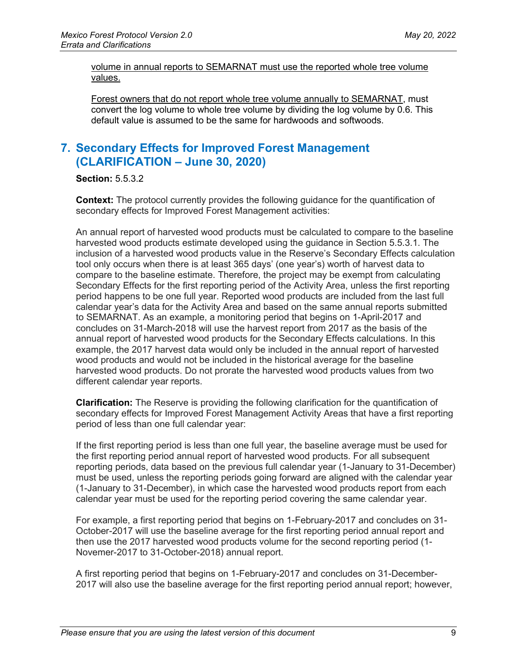volume in annual reports to SEMARNAT must use the reported whole tree volume values.

Forest owners that do not report whole tree volume annually to SEMARNAT, must convert the log volume to whole tree volume by dividing the log volume by 0.6. This default value is assumed to be the same for hardwoods and softwoods.

## <span id="page-8-0"></span>**7. Secondary Effects for Improved Forest Management (CLARIFICATION – June 30, 2020)**

**Section:** 5.5.3.2

**Context:** The protocol currently provides the following guidance for the quantification of secondary effects for Improved Forest Management activities:

An annual report of harvested wood products must be calculated to compare to the baseline harvested wood products estimate developed using the guidance in Section 5.5.3.1. The inclusion of a harvested wood products value in the Reserve's Secondary Effects calculation tool only occurs when there is at least 365 days' (one year's) worth of harvest data to compare to the baseline estimate. Therefore, the project may be exempt from calculating Secondary Effects for the first reporting period of the Activity Area, unless the first reporting period happens to be one full year. Reported wood products are included from the last full calendar year's data for the Activity Area and based on the same annual reports submitted to SEMARNAT. As an example, a monitoring period that begins on 1-April-2017 and concludes on 31-March-2018 will use the harvest report from 2017 as the basis of the annual report of harvested wood products for the Secondary Effects calculations. In this example, the 2017 harvest data would only be included in the annual report of harvested wood products and would not be included in the historical average for the baseline harvested wood products. Do not prorate the harvested wood products values from two different calendar year reports.

**Clarification:** The Reserve is providing the following clarification for the quantification of secondary effects for Improved Forest Management Activity Areas that have a first reporting period of less than one full calendar year:

If the first reporting period is less than one full year, the baseline average must be used for the first reporting period annual report of harvested wood products. For all subsequent reporting periods, data based on the previous full calendar year (1-January to 31-December) must be used, unless the reporting periods going forward are aligned with the calendar year (1-January to 31-December), in which case the harvested wood products report from each calendar year must be used for the reporting period covering the same calendar year.

For example, a first reporting period that begins on 1-February-2017 and concludes on 31- October-2017 will use the baseline average for the first reporting period annual report and then use the 2017 harvested wood products volume for the second reporting period (1- Novemer-2017 to 31-October-2018) annual report.

A first reporting period that begins on 1-February-2017 and concludes on 31-December-2017 will also use the baseline average for the first reporting period annual report; however,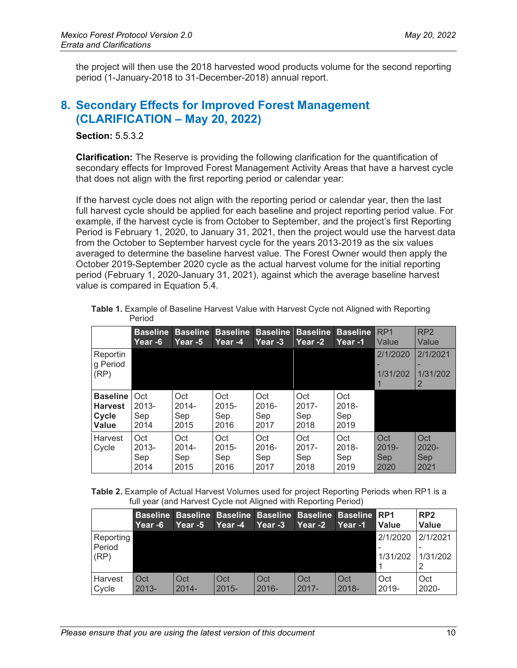the project will then use the 2018 harvested wood products volume for the second reporting period (1-January-2018 to 31-December-2018) annual report.

#### <span id="page-9-0"></span>**8. Secondary Effects for Improved Forest Management (CLARIFICATION – May 20, 2022)**

**Section:** 5.5.3.2

**Clarification:** The Reserve is providing the following clarification for the quantification of secondary effects for Improved Forest Management Activity Areas that have a harvest cycle that does not align with the first reporting period or calendar year:

If the harvest cycle does not align with the reporting period or calendar year, then the last full harvest cycle should be applied for each baseline and project reporting period value. For example, if the harvest cycle is from October to September, and the project's first Reporting Period is February 1, 2020, to January 31, 2021, then the project would use the harvest data from the October to September harvest cycle for the years 2013-2019 as the six values averaged to determine the baseline harvest value. The Forest Owner would then apply the October 2019-September 2020 cycle as the actual harvest volume for the initial reporting period (February 1, 2020-January 31, 2021), against which the average baseline harvest value is compared in Equation 5.4.

|                                                     | <b>Baseline</b><br><u> Year -6</u> | <b>Baseline</b><br>⊦Year -5    | <b>Baseline</b><br>Year -4     | <b>Baseline</b><br><b>Year -3</b> | <b>Baseline</b><br>Year -2     | <b>Baseline</b><br>Year -1     | RP <sub>1</sub><br>Value       | RP <sub>2</sub><br>Value       |
|-----------------------------------------------------|------------------------------------|--------------------------------|--------------------------------|-----------------------------------|--------------------------------|--------------------------------|--------------------------------|--------------------------------|
| Reportin<br>g Period<br>(RP)                        |                                    |                                |                                |                                   |                                |                                | 2/1/2020<br>1/31/202           | 2/1/2021<br>1/31/202           |
| <b>Baseline</b><br><b>Harvest</b><br>Cycle<br>Value | Oct<br>$2013 -$<br>Sep<br>2014     | Oct<br>$2014 -$<br>Sep<br>2015 | Oct<br>$2015 -$<br>Sep<br>2016 | Oct<br>$2016 -$<br>Sep<br>2017    | Oct<br>$2017 -$<br>Sep<br>2018 | Oct<br>2018-<br>Sep<br>2019    |                                |                                |
| Harvest<br>Cycle                                    | Oct<br>$2013 -$<br>Sep<br>2014     | Oct<br>$2014 -$<br>Sep<br>2015 | Oct<br>$2015 -$<br>Sep<br>2016 | Oct<br>$2016 -$<br>Sep<br>2017    | Oct<br>$2017 -$<br>Sep<br>2018 | Oct<br>$2018 -$<br>Sep<br>2019 | Oct<br>$2019 -$<br>Sep<br>2020 | Oct<br>$2020 -$<br>Sep<br>2021 |

**Table 1.** Example of Baseline Harvest Value with Harvest Cycle not Aligned with Reporting Period

| <b>Table 2.</b> Example of Actual Harvest Volumes used for project Reporting Periods when RP1 is a |  |
|----------------------------------------------------------------------------------------------------|--|
| full year (and Harvest Cycle not Aligned with Reporting Period)                                    |  |

|                             | Year -6         | Year -5         | Year -4         | Baseline Baseline Baseline Baseline Baseline Baseline RP1<br>Year -3 | Year -2         | Year -1         | Value                | RP <sub>2</sub><br>Value |
|-----------------------------|-----------------|-----------------|-----------------|----------------------------------------------------------------------|-----------------|-----------------|----------------------|--------------------------|
| Reporting<br>Period<br>(RP) |                 |                 |                 |                                                                      |                 |                 | 2/1/2020<br>1/31/202 | 2/1/2021<br>1/31/202     |
| Harvest<br>Cycle            | Oct<br>$2013 -$ | Oct<br>$2014 -$ | Oct<br>$2015 -$ | Oct<br>$2016 -$                                                      | Oct<br>$2017 -$ | Oct<br>$2018 -$ | Oct<br>2019-         | Oct<br>2020-             |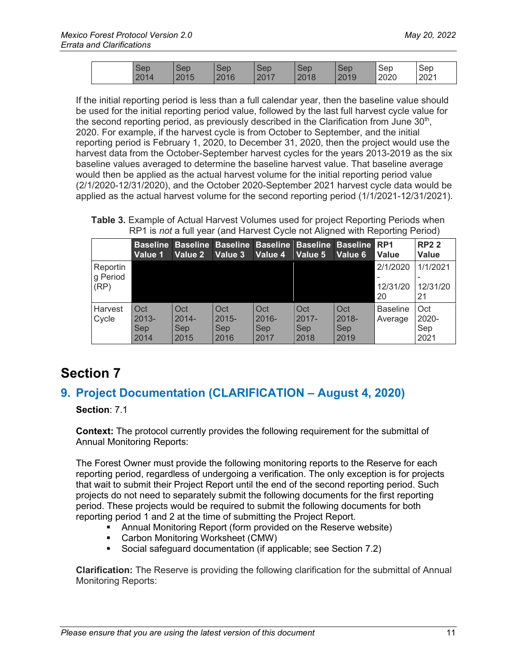|  | Sep  | Sep  | Sep  | Sep  | Sep  | Sep  | Sep  | Sep  |
|--|------|------|------|------|------|------|------|------|
|  | 2014 | 2015 | 2016 | 2017 | 2018 | 2019 | 2020 | 2021 |

If the initial reporting period is less than a full calendar year, then the baseline value should be used for the initial reporting period value, followed by the last full harvest cycle value for the second reporting period, as previously described in the Clarification from June  $30<sup>th</sup>$ , 2020. For example, if the harvest cycle is from October to September, and the initial reporting period is February 1, 2020, to December 31, 2020, then the project would use the harvest data from the October-September harvest cycles for the years 2013-2019 as the six baseline values averaged to determine the baseline harvest value. That baseline average would then be applied as the actual harvest volume for the initial reporting period value (2/1/2020-12/31/2020), and the October 2020-September 2021 harvest cycle data would be applied as the actual harvest volume for the second reporting period (1/1/2021-12/31/2021).

**Table 3.** Example of Actual Harvest Volumes used for project Reporting Periods when RP1 is *not* a full year (and Harvest Cycle not Aligned with Reporting Period)

|          | <b>Baseline</b><br>Value 1 | Value 2    | Baseline Baseline Baseline Baseline Baseline<br>Value 3 | Value 4  | Value 5  | Value 6  | RP <sub>1</sub><br><b>Value</b> | <b>RP22</b><br><b>Value</b> |
|----------|----------------------------|------------|---------------------------------------------------------|----------|----------|----------|---------------------------------|-----------------------------|
| Reportin |                            |            |                                                         |          |          |          | 2/1/2020                        | 1/1/2021                    |
| g Period |                            |            |                                                         |          |          |          |                                 |                             |
| (RP)     |                            |            |                                                         |          |          |          | 12/31/20<br>20                  | 12/31/20<br>21              |
|          |                            |            |                                                         |          |          |          |                                 |                             |
| Harvest  | Oct                        | Oct        | Oct                                                     | Oct      | Oct      | Oct      | <b>Baseline</b>                 | Oct                         |
| Cycle    | $2013 -$                   | $2014 -$   | $2015 -$                                                | $2016 -$ | $2017 -$ | $2018 -$ | Average                         | 2020-                       |
|          | Sep                        | <b>Sep</b> | Sep                                                     | Sep      | Sep      | Sep      |                                 | Sep                         |
|          | 2014                       | 2015       | 2016                                                    | 2017     | 2018     | 2019     |                                 | 2021                        |

# <span id="page-10-0"></span>**Section 7**

### <span id="page-10-1"></span>**9. Project Documentation (CLARIFICATION – August 4, 2020)**

#### **Section**: 7.1

**Context:** The protocol currently provides the following requirement for the submittal of Annual Monitoring Reports:

The Forest Owner must provide the following monitoring reports to the Reserve for each reporting period, regardless of undergoing a verification. The only exception is for projects that wait to submit their Project Report until the end of the second reporting period. Such projects do not need to separately submit the following documents for the first reporting period. These projects would be required to submit the following documents for both reporting period 1 and 2 at the time of submitting the Project Report.

- Annual Monitoring Report (form provided on the Reserve website)
- **Carbon Monitoring Worksheet (CMW)**
- Social safeguard documentation (if applicable; see Section 7.2)

**Clarification:** The Reserve is providing the following clarification for the submittal of Annual Monitoring Reports: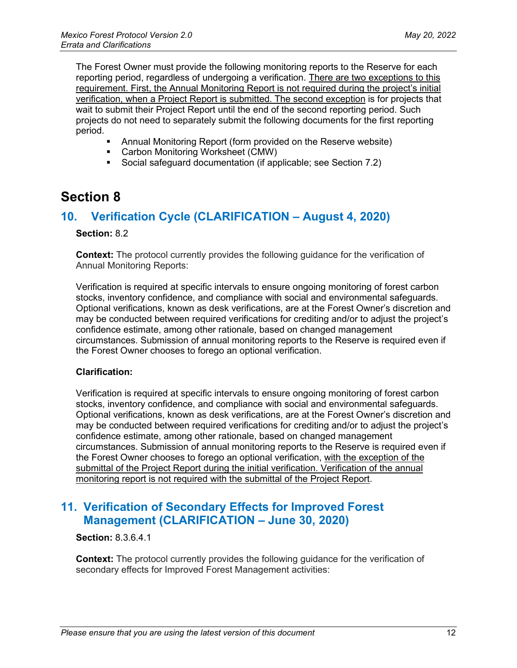The Forest Owner must provide the following monitoring reports to the Reserve for each reporting period, regardless of undergoing a verification. There are two exceptions to this requirement. First, the Annual Monitoring Report is not required during the project's initial verification, when a Project Report is submitted. The second exception is for projects that wait to submit their Project Report until the end of the second reporting period. Such projects do not need to separately submit the following documents for the first reporting period.

- Annual Monitoring Report (form provided on the Reserve website)
- Carbon Monitoring Worksheet (CMW)
- Social safeguard documentation (if applicable; see Section 7.2)

## <span id="page-11-0"></span>**Section 8**

#### <span id="page-11-1"></span>**10. Verification Cycle (CLARIFICATION – August 4, 2020)**

#### **Section:** 8.2

**Context:** The protocol currently provides the following guidance for the verification of Annual Monitoring Reports:

Verification is required at specific intervals to ensure ongoing monitoring of forest carbon stocks, inventory confidence, and compliance with social and environmental safeguards. Optional verifications, known as desk verifications, are at the Forest Owner's discretion and may be conducted between required verifications for crediting and/or to adjust the project's confidence estimate, among other rationale, based on changed management circumstances. Submission of annual monitoring reports to the Reserve is required even if the Forest Owner chooses to forego an optional verification.

#### **Clarification:**

Verification is required at specific intervals to ensure ongoing monitoring of forest carbon stocks, inventory confidence, and compliance with social and environmental safeguards. Optional verifications, known as desk verifications, are at the Forest Owner's discretion and may be conducted between required verifications for crediting and/or to adjust the project's confidence estimate, among other rationale, based on changed management circumstances. Submission of annual monitoring reports to the Reserve is required even if the Forest Owner chooses to forego an optional verification, with the exception of the submittal of the Project Report during the initial verification. Verification of the annual monitoring report is not required with the submittal of the Project Report.

### <span id="page-11-2"></span>**11. Verification of Secondary Effects for Improved Forest Management (CLARIFICATION – June 30, 2020)**

#### **Section:** 8.3.6.4.1

**Context:** The protocol currently provides the following guidance for the verification of secondary effects for Improved Forest Management activities: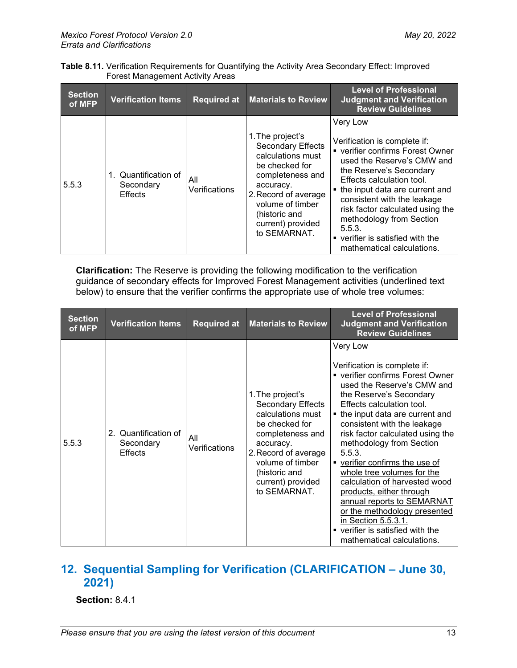|                                  | Table 8.11. Verification Requirements for Quantifying the Activity Area Secondary Effect: Improved |
|----------------------------------|----------------------------------------------------------------------------------------------------|
| Forest Management Activity Areas |                                                                                                    |

| <b>Section</b><br>of MFP | <b>Verification Items</b>                    | <b>Required at</b>   | <b>Materials to Review</b>                                                                                                                                                                                             | <b>Level of Professional</b><br><b>Judgment and Verification</b><br><b>Review Guidelines</b>                                                                                                                                                                                                                                                                                    |
|--------------------------|----------------------------------------------|----------------------|------------------------------------------------------------------------------------------------------------------------------------------------------------------------------------------------------------------------|---------------------------------------------------------------------------------------------------------------------------------------------------------------------------------------------------------------------------------------------------------------------------------------------------------------------------------------------------------------------------------|
| 5.5.3                    | 1. Quantification of<br>Secondary<br>Effects | All<br>Verifications | 1. The project's<br><b>Secondary Effects</b><br>calculations must<br>be checked for<br>completeness and<br>accuracy.<br>2. Record of average<br>volume of timber<br>(historic and<br>current) provided<br>to SEMARNAT. | Very Low<br>Verification is complete if:<br>• verifier confirms Forest Owner<br>used the Reserve's CMW and<br>the Reserve's Secondary<br>Effects calculation tool.<br>• the input data are current and<br>consistent with the leakage<br>risk factor calculated using the<br>methodology from Section<br>5.5.3.<br>verifier is satisfied with the<br>mathematical calculations. |

**Clarification:** The Reserve is providing the following modification to the verification guidance of secondary effects for Improved Forest Management activities (underlined text  $\overrightarrow{b}$  below) to ensure that the verifier confirms the appropriate use of whole tree volumes:

| <b>Section</b><br>of MFP | <b>Verification Items</b>                           | <b>Required at</b>   | <b>Materials to Review</b>                                                                                                                                                                                      | <b>Level of Professional</b><br><b>Judgment and Verification</b><br><b>Review Guidelines</b>                                                                                                                                                                                                                                                                                                                                                                                                                                                                                                      |
|--------------------------|-----------------------------------------------------|----------------------|-----------------------------------------------------------------------------------------------------------------------------------------------------------------------------------------------------------------|---------------------------------------------------------------------------------------------------------------------------------------------------------------------------------------------------------------------------------------------------------------------------------------------------------------------------------------------------------------------------------------------------------------------------------------------------------------------------------------------------------------------------------------------------------------------------------------------------|
| 5.5.3                    | 2. Quantification of<br>Secondary<br><b>Effects</b> | All<br>Verifications | 1. The project's<br>Secondary Effects<br>calculations must<br>be checked for<br>completeness and<br>accuracy.<br>2. Record of average<br>volume of timber<br>(historic and<br>current) provided<br>to SEMARNAT. | Very Low<br>Verification is complete if:<br>• verifier confirms Forest Owner<br>used the Reserve's CMW and<br>the Reserve's Secondary<br>Effects calculation tool.<br>• the input data are current and<br>consistent with the leakage<br>risk factor calculated using the<br>methodology from Section<br>5.5.3.<br>• verifier confirms the use of<br>whole tree volumes for the<br>calculation of harvested wood<br>products, either through<br>annual reports to SEMARNAT<br>or the methodology presented<br>in Section 5.5.3.1.<br>verifier is satisfied with the<br>mathematical calculations. |

## <span id="page-12-0"></span>**12. Sequential Sampling for Verification (CLARIFICATION – June 30, 2021)**

**Section:** 8.4.1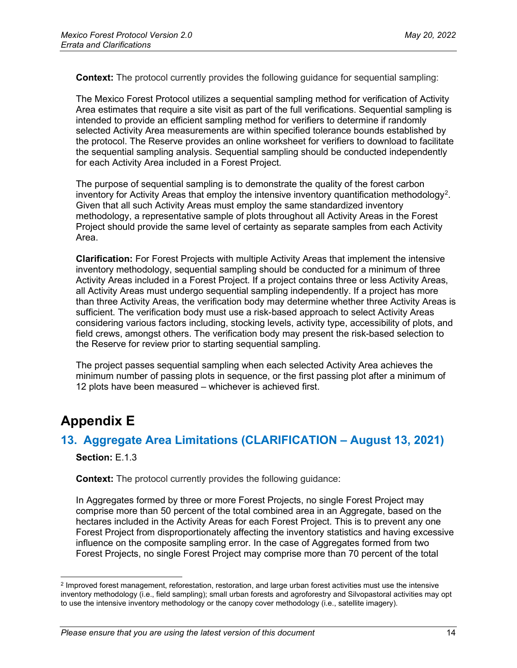**Context:** The protocol currently provides the following guidance for sequential sampling:

The Mexico Forest Protocol utilizes a sequential sampling method for verification of Activity Area estimates that require a site visit as part of the full verifications. Sequential sampling is intended to provide an efficient sampling method for verifiers to determine if randomly selected Activity Area measurements are within specified tolerance bounds established by the protocol. The Reserve provides an online worksheet for verifiers to download to facilitate the sequential sampling analysis. Sequential sampling should be conducted independently for each Activity Area included in a Forest Project.

The purpose of sequential sampling is to demonstrate the quality of the forest carbon inventory for Activity Areas that employ the intensive inventory quantification methodology<sup>[2](#page-13-2)</sup>. Given that all such Activity Areas must employ the same standardized inventory methodology, a representative sample of plots throughout all Activity Areas in the Forest Project should provide the same level of certainty as separate samples from each Activity Area.

**Clarification:** For Forest Projects with multiple Activity Areas that implement the intensive inventory methodology, sequential sampling should be conducted for a minimum of three Activity Areas included in a Forest Project. If a project contains three or less Activity Areas, all Activity Areas must undergo sequential sampling independently. If a project has more than three Activity Areas, the verification body may determine whether three Activity Areas is sufficient. The verification body must use a risk-based approach to select Activity Areas considering various factors including, stocking levels, activity type, accessibility of plots, and field crews, amongst others. The verification body may present the risk-based selection to the Reserve for review prior to starting sequential sampling.

The project passes sequential sampling when each selected Activity Area achieves the minimum number of passing plots in sequence, or the first passing plot after a minimum of 12 plots have been measured – whichever is achieved first.

# <span id="page-13-0"></span>**Appendix E**

#### <span id="page-13-1"></span>**13. Aggregate Area Limitations (CLARIFICATION – August 13, 2021)**

**Section:**  $F$  1.3

**Context:** The protocol currently provides the following guidance:

In Aggregates formed by three or more Forest Projects, no single Forest Project may comprise more than 50 percent of the total combined area in an Aggregate, based on the hectares included in the Activity Areas for each Forest Project. This is to prevent any one Forest Project from disproportionately affecting the inventory statistics and having excessive influence on the composite sampling error. In the case of Aggregates formed from two Forest Projects, no single Forest Project may comprise more than 70 percent of the total

<span id="page-13-2"></span><sup>2</sup> Improved forest management, reforestation, restoration, and large urban forest activities must use the intensive inventory methodology (i.e., field sampling); small urban forests and agroforestry and Silvopastoral activities may opt to use the intensive inventory methodology or the canopy cover methodology (i.e., satellite imagery).